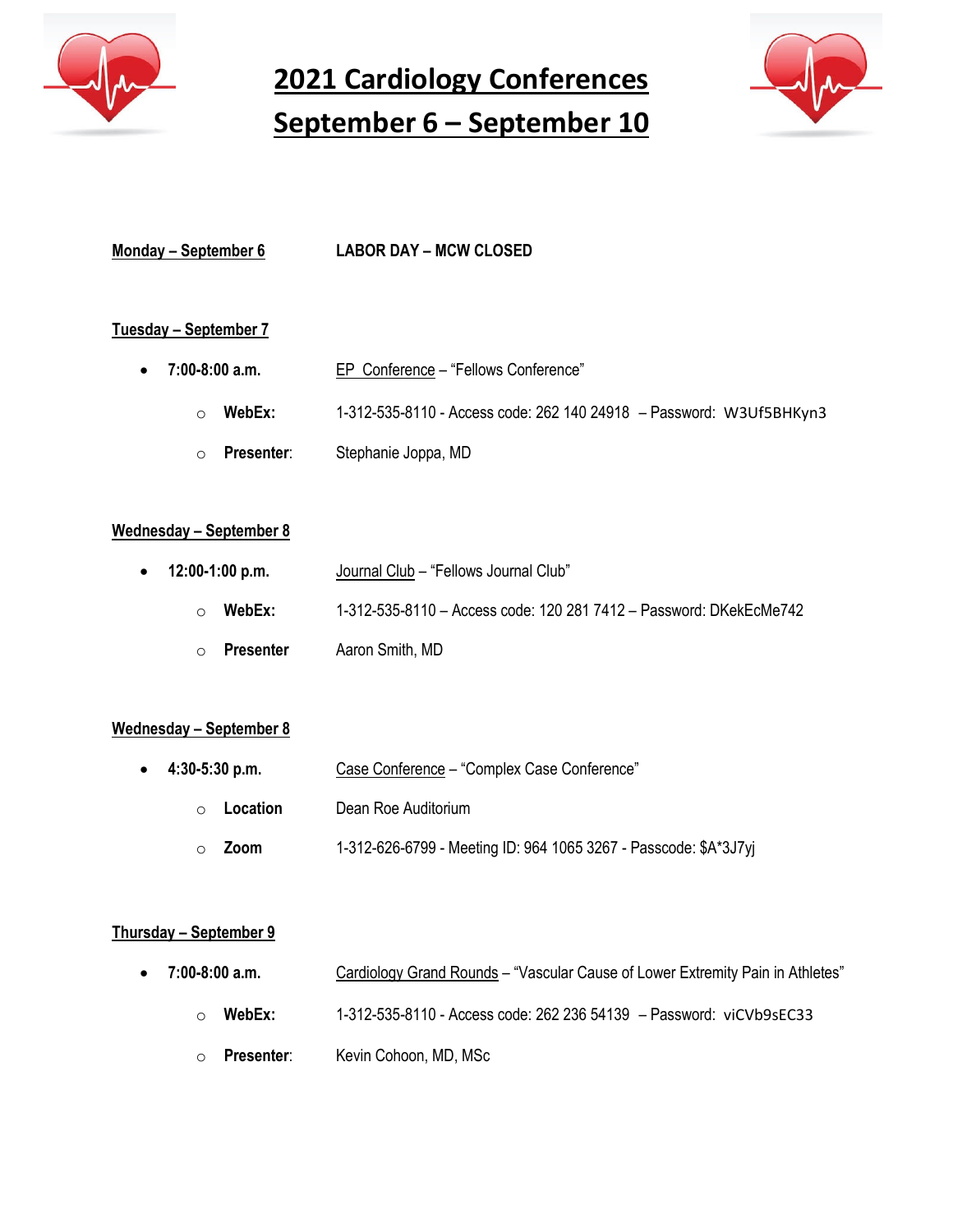

**2021 Cardiology Conferences September 6 – September 10**



| Monday – September 6 | <b>LABOR DAY - MCW CLOSED</b> |
|----------------------|-------------------------------|

# **Tuesday – September 7**

| $\bullet$ 7:00-8:00 a.m. | EP Conference - "Fellows Conference"                                |
|--------------------------|---------------------------------------------------------------------|
| WebEx:<br>∩              | 1-312-535-8110 - Access code: 262 140 24918 - Password: W3Uf5BHKyn3 |
| Presenter:<br>$\circ$    | Stephanie Joppa, MD                                                 |

#### **Wednesday – September 8**

| $\bullet$ 12:00-1:00 p.m.   | Journal Club - "Fellows Journal Club"                              |
|-----------------------------|--------------------------------------------------------------------|
| WebEx:<br>$\circ$           | 1-312-535-8110 - Access code: 120 281 7412 - Password: DKekEcMe742 |
| <b>Presenter</b><br>$\circ$ | Aaron Smith, MD                                                    |

#### **Wednesday – September 8**

| $\bullet$ 4:30-5:30 p.m. | Case Conference - "Complex Case Conference"                      |
|--------------------------|------------------------------------------------------------------|
| Location<br>$\bigcap$    | Dean Roe Auditorium                                              |
| Zoom                     | 1-312-626-6799 - Meeting ID: 964 1065 3267 - Passcode: \$A*3J7yi |

#### **Thursday – September 9**

- 7:00-8:00 a.m. **Cardiology Grand Rounds** "Vascular Cause of Lower Extremity Pain in Athletes"
	- o **WebEx:** 1-312-535-8110 Access code: 262 236 54139 Password: viCVb9sEC33
	- o **Presenter**: Kevin Cohoon, MD, MSc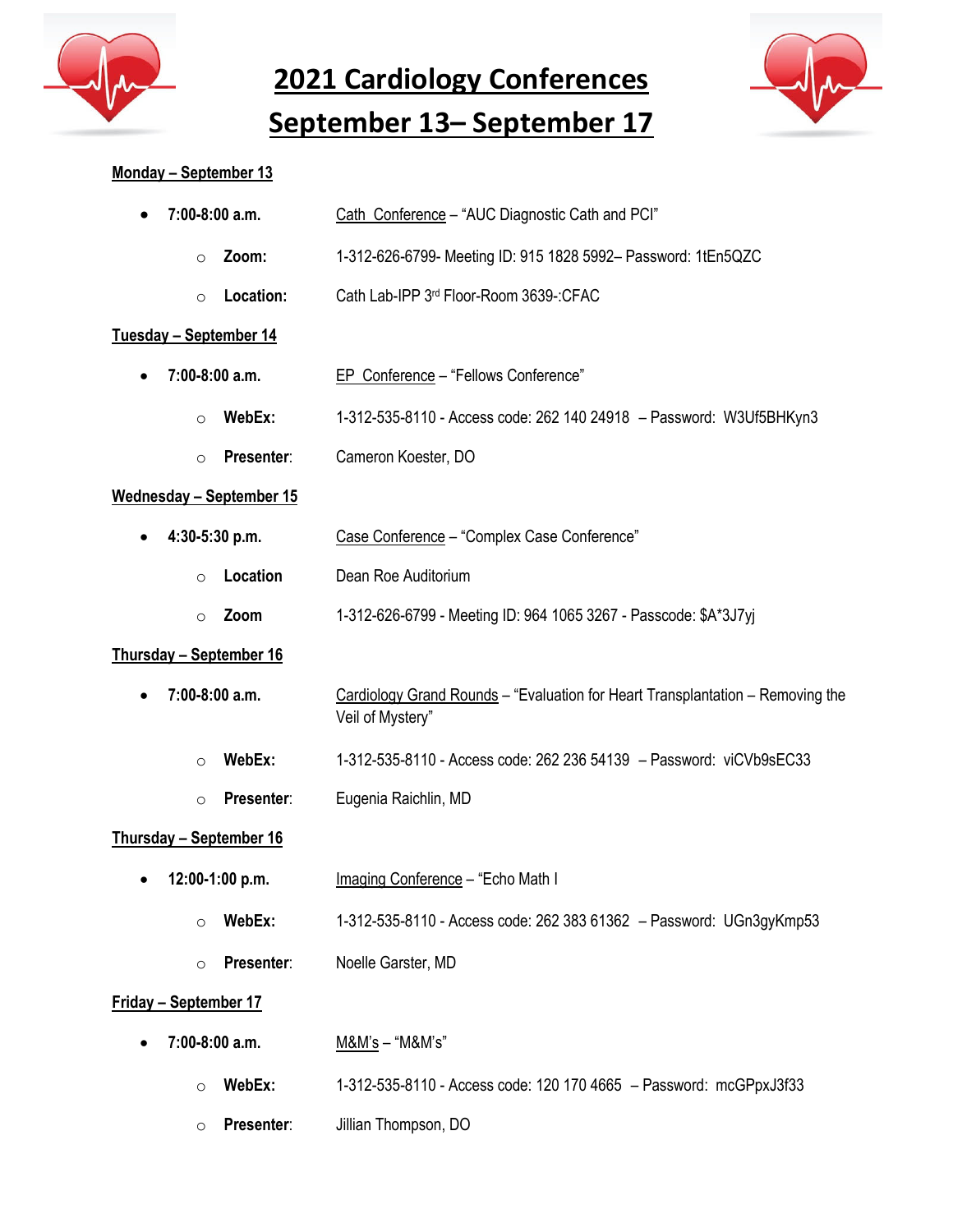

**2021 Cardiology Conferences**

**September 13– September 17**



# **Monday – September 13**

| 7:00-8:00 a.m.<br>$\bullet$      | Cath Conference - "AUC Diagnostic Cath and PCI"                                                    |
|----------------------------------|----------------------------------------------------------------------------------------------------|
| Zoom:<br>$\circ$                 | 1-312-626-6799- Meeting ID: 915 1828 5992- Password: 1tEn5QZC                                      |
| Location:<br>$\circ$             | Cath Lab-IPP 3rd Floor-Room 3639-:CFAC                                                             |
| <u> Tuesday – September 14</u>   |                                                                                                    |
| 7:00-8:00 a.m.                   | EP Conference - "Fellows Conference"                                                               |
| WebEx:<br>$\circ$                | 1-312-535-8110 - Access code: 262 140 24918 - Password: W3Uf5BHKyn3                                |
| Presenter:<br>$\circ$            | Cameron Koester, DO                                                                                |
| <u> Wednesday – September 15</u> |                                                                                                    |
| 4:30-5:30 p.m.                   | Case Conference - "Complex Case Conference"                                                        |
| Location<br>$\circ$              | Dean Roe Auditorium                                                                                |
| Zoom<br>$\circ$                  | 1-312-626-6799 - Meeting ID: 964 1065 3267 - Passcode: \$A*3J7yj                                   |
| <u> Thursday – September 16</u>  |                                                                                                    |
| 7:00-8:00 a.m.                   | Cardiology Grand Rounds - "Evaluation for Heart Transplantation - Removing the<br>Veil of Mystery" |
| WebEx:<br>$\circ$                | 1-312-535-8110 - Access code: 262 236 54139 - Password: viCVb9sEC33                                |
| Presenter:<br>$\circ$            | Eugenia Raichlin, MD                                                                               |
| Thursday - September 16          |                                                                                                    |
| 12:00-1:00 p.m.                  | Imaging Conference - "Echo Math I                                                                  |
| WebEx:<br>$\circ$                | 1-312-535-8110 - Access code: 262 383 61362 - Password: UGn3gyKmp53                                |
| Presenter:<br>$\circ$            | Noelle Garster, MD                                                                                 |
| <u> Friday – September 17</u>    |                                                                                                    |
| 7:00-8:00 a.m.                   | M&M's - "M&M's"                                                                                    |
| WebEx:<br>$\circ$                | 1-312-535-8110 - Access code: 120 170 4665 - Password: mcGPpxJ3f33                                 |
| Presenter:<br>$\circ$            | Jillian Thompson, DO                                                                               |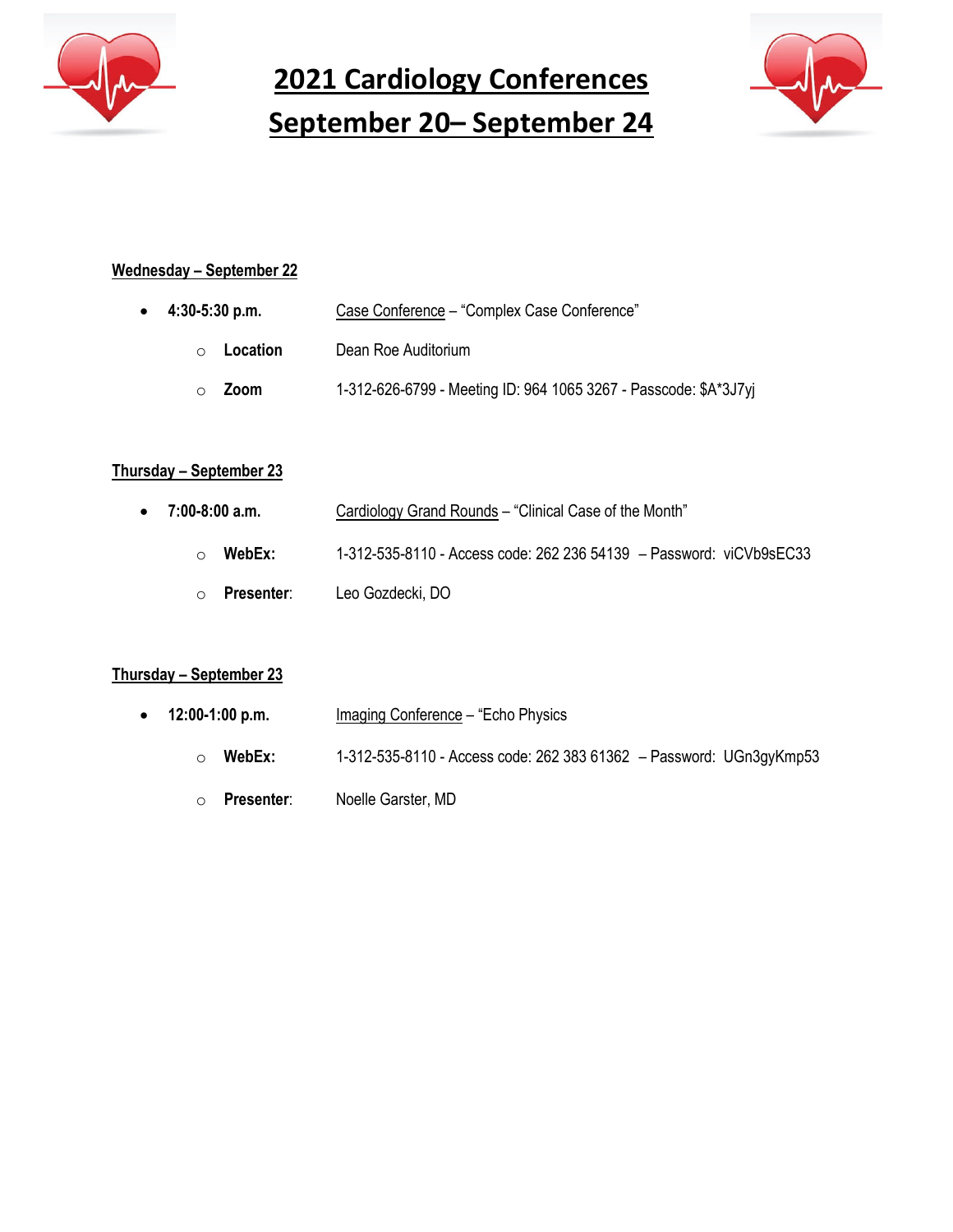

**2021 Cardiology Conferences September 20– September 24**



# **Wednesday – September 22**

| $\bullet$ 4:30-5:30 p.m. | Case Conference - "Complex Case Conference"                      |
|--------------------------|------------------------------------------------------------------|
| Location<br>$\bigcap$    | Dean Roe Auditorium                                              |
| Zoom                     | 1-312-626-6799 - Meeting ID: 964 1065 3267 - Passcode: \$A*3J7yj |

#### **Thursday – September 23**

| $\bullet$ 7:00-8:00 a.m. | Cardiology Grand Rounds – "Clinical Case of the Month"              |
|--------------------------|---------------------------------------------------------------------|
| WebEx:<br>$\bigcirc$     | 1-312-535-8110 - Access code: 262 236 54139 - Password: viCVb9sEC33 |
| Presenter:<br>$\circ$    | Leo Gozdecki, DO                                                    |

# **Thursday – September 23**

| $\bullet$ 12:00-1:00 p.m. |                   | Imaging Conference - "Echo Physics"                                 |
|---------------------------|-------------------|---------------------------------------------------------------------|
| ∩                         | WebEx:            | 1-312-535-8110 - Access code: 262 383 61362 - Password: UGn3gyKmp53 |
|                           | <b>Presenter:</b> | Noelle Garster, MD                                                  |